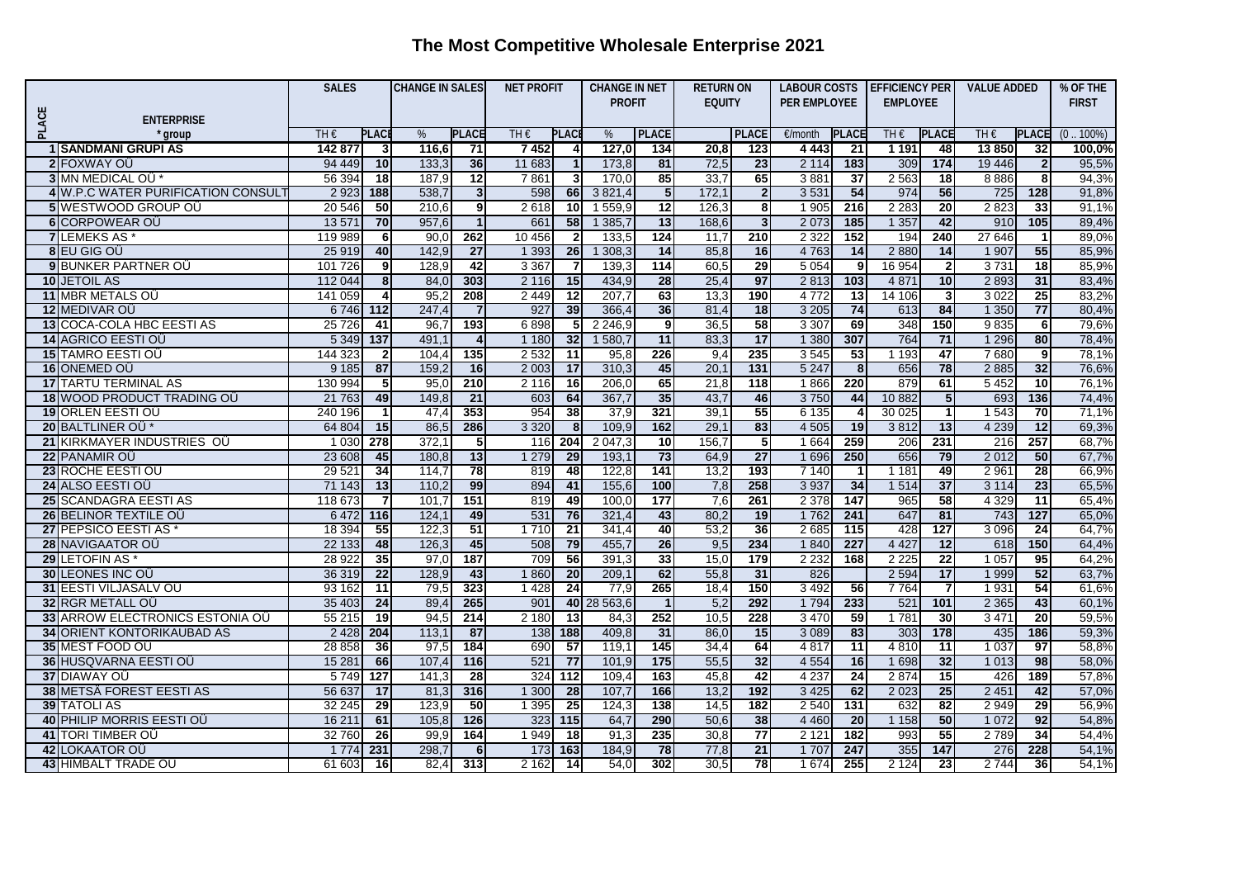## **The Most Competitive Wholesale Enterprise 2021**

|       |                                                   | <b>SALES</b>      |                    | <b>CHANGE IN SALES</b> |                        | <b>NET PROFIT</b> |                         | <b>CHANGE IN NET</b> |                 | <b>RETURN ON</b> |                 | LABOUR COSTS       |                  | <b>EFFICIENCY PER</b> |                  | <b>VALUE ADDED</b> |                        | % OF THE       |
|-------|---------------------------------------------------|-------------------|--------------------|------------------------|------------------------|-------------------|-------------------------|----------------------|-----------------|------------------|-----------------|--------------------|------------------|-----------------------|------------------|--------------------|------------------------|----------------|
|       |                                                   |                   |                    |                        |                        |                   |                         | <b>PROFIT</b>        |                 | <b>EQUITY</b>    |                 | PER EMPLOYEE       |                  | <b>EMPLOYEE</b>       |                  |                    |                        | <b>FIRST</b>   |
| PLACE | <b>ENTERPRISE</b>                                 |                   |                    |                        |                        |                   |                         |                      |                 |                  |                 |                    |                  |                       |                  |                    |                        |                |
|       | ' group                                           | TH€               | <b>PLACI</b>       | %                      | <b>PLACE</b>           | TH€               | <b>PLAC</b>             | %                    | <b>PLACE</b>    |                  | <b>PLACE</b>    | €/month            | <b>PLACE</b>     | TH $\epsilon$         | <b>PLACE</b>     | TH $\epsilon$      | <b>PLACE</b>           | $(0.100\%)$    |
|       | <b>1 SANDMANI GRUPI AS</b>                        | 142 877           | 3                  | 116,6                  | 71                     | 7452              | 4                       | 127,0                | 134             | 20,8             | 123             | 4 4 4 3            | 21               | 1 1 9 1               | 48               | 13850              | 32                     | 100,0%         |
|       | 2 FOXWAY OU                                       | 94 449            | 10 <sup>1</sup>    | 133,3                  | 36                     | 11 683            | $\overline{1}$          | 173,8                | 81              | 72,5             | 23              | 2 1 1 4            | 183              | 309                   | $\overline{174}$ | 19 44 6            | $\overline{2}$         | 95,5%          |
|       | 3 MN MEDICAL OU*                                  | 56 394            | 18                 | 187.9                  | $\overline{12}$        | 7861              | 3 <sup>l</sup>          | 170.0                | 85              | 33,7             | 65              | 3881               | $\overline{37}$  | 2 5 6 3               | 18               | 8886               | 8                      | 94,3%          |
|       | 4 W.P.C WATER PURIFICATION CONSUL                 | 2 9 2 3           | 188                | 538,7                  | 3 <sup>l</sup>         | 598               | 66                      | 3 8 21,4             | $5\phantom{1}$  | 172,1            | 2               | 3 5 3 1            | 54               | 974                   | 56               | 725                | 128                    | 91,8%          |
|       | 5 WESTWOOD GROUP OU                               | 20 546            | 50                 | 210,6                  | 9                      | 2618              | 10                      | 1 559,9              | $\overline{12}$ | 126,3            | 8               | 1 9 0 5            | 216              | 2 2 8 3               | 20               | 2823               | 33                     | 91,1%          |
|       | 6 CORPOWEAR OÜ                                    | 13 5 71           | 70                 | 957,6                  | $\mathbf{1}$           | 661               | 58                      | 1 385,7              | 13              | 168,6            | $\overline{3}$  | 2 0 7 3            | 185              | 1 3 5 7               | 42               | 910                | 105                    | 89,4%          |
|       | <b>7 LEMEKS AS</b>                                | 119 989           | 6 <sup>1</sup>     | 90.0                   | 262                    | 10 456            | $\overline{2}$          | 133,5                | 124             | 11.7             | 210             | 2 3 2 2            | 152              | 194                   | 240              | 27 646             | $\overline{1}$         | 89.0%          |
|       | 8 EU GIG OU                                       | 25 919            | 40                 | 142,9                  | 27                     | 1 3 9 3           | 26                      | 1308,3               | 14              | 85,8             | 16              | 4 7 6 3            | 14               | 2880                  | 14               | 1 907              | 55                     | 85,9%          |
|       | 9 BUNKER PARTNER OU                               | 101 726           | 9                  | 128,9                  | 42                     | 3 3 6 7           | $\overline{\mathbf{7}}$ | 139,3                | 114             | 60,5             | 29              | 5 0 5 4            | - 9              | 16 954                | $\mathbf{2}$     | 3731               | $\overline{18}$        | 85,9%          |
|       | <b>10 JETOIL AS</b>                               | 112 044           | $\bf{8}$           | 84.0                   | 303                    | 2 1 1 6           | 15                      | 434.9                | $\overline{28}$ | 25.4             | 97              | 2813               | 103              | 4 8 7 1               | 10               | 2893               | $\overline{31}$        | 83,4%          |
|       | 11 MBR METALS OU                                  | 141 059           | $\overline{4}$     | 95,2                   | 208                    | 2 4 4 9           | 12                      | 207,7                | 63              | 13,3             | 190             | 4772               | 13               | 14 106                | 3 <sup>1</sup>   | 3 0 2 2            | 25                     | 83,2%          |
|       | 12 MEDIVAR OÜ                                     | 6 746 112         |                    | 247,4                  |                        | 927               | 39                      | 366,4                | 36              | 81,4             | 18              | 3 2 0 5            | 74               | 613                   | 84               | 1 3 5 0            | 77                     | 80,4%          |
|       | 13 COCA-COLA HBC EESTI AS                         | 25 7 26           | 41                 | 96,7                   | 193                    | 6898              | 5 <sub>l</sub>          | 2 2 4 6,9            | 9               | 36,5             | 58              | 3 3 0 7            | 69               | 348                   | 150              | 9835               | 6                      | 79,6%          |
|       | <b>14 AGRICO EESTI OU</b>                         | 5 3 4 9           | 137                | 491,                   | 4                      | 1 1 8 0           | 32                      | 1580,7               | 11              | 83,3             | 17              | 1 3 8 0            | 307              | 764                   | 71               | 1 2 9 6            | 80                     | 78,4%          |
|       | <b>15 TAMRO EESTI OÜ</b>                          | 144 323           | $\mathbf{2}$       | 104,4                  | 135                    | 2 5 3 2           | $\overline{11}$         | 95,8                 | 226             | 9,4              | 235             | 3 5 4 5            | 53               | 1 1 9 3               | $\overline{47}$  | 7680               | 9                      | 78,1%          |
|       | 16 ONEMED OU                                      | 9 1 8 5           | 87                 | 159,2                  | 16                     | 2 0 0 3           | 17                      | 310,3                | 45              | 20,1             | 131             | 5 2 4 7            | 8                | 656                   | 78               | 2885               | 32                     | 76,6%          |
|       | <b>17 TARTU TERMINAL AS</b>                       | 130 994           | 5                  | 95,0                   | 210<br>$\overline{21}$ | 2 1 1 6           | 16                      | 206,0<br>367,7       | 65              | 21,8<br>43,7     | 118<br>46       | 1866<br>3750       | 220<br>44        | 879                   | 61               | 5 4 5 2            | $\overline{10}$        | 76,1%          |
|       | 18 WOOD PRODUCT TRADING OU                        | 21 7 63           | 49<br>$\mathbf{1}$ | 149,8                  | 353                    | 603<br>954        | 64<br>38                | 37,9                 | 35<br>321       | 39,1             | 55              |                    |                  | 10 882<br>30 0 25     | 5 <sub>1</sub>   | 693                | 136<br>$\overline{70}$ | 74,4%          |
|       | 19 ORLEN EESTI OÜ<br>20 BALTLINER OÜ <sup>*</sup> | 240 196<br>64 804 | 15                 | 47,4<br>86,5           | 286                    | 3 3 2 0           | 8                       | 109,9                | 162             | 29,1             | 83              | 6 1 3 5<br>4 5 0 5 | 19               | 3812                  | 13               | 1 5 4 3<br>4 2 3 9 | 12                     | 71,1%<br>69,3% |
|       | 21 KIRKMAYER INDUSTRIES OU                        | 1 0 3 0           | 278                | 372,                   | $5\phantom{.0}$        | 116               | 204                     | 2047,3               | 10              | 156,7            | 5               | 1 6 6 4            | 259              | 206                   | 231              | 216                | 257                    | 68,7%          |
|       | 22 PANAMIR OU                                     | 23 608            | 45                 | 180.8                  | 13                     | 1 2 7 9           | 29                      | 193.1                | $\overline{73}$ | 64.9             | 27              | 1696               | 250              | 656                   | 79               | 2012               | 50                     | 67,7%          |
|       | 23 ROCHE EESTI OÜ                                 | 29 5 21           | 34                 | 114,7                  | 78                     | 819               | 48                      | 122,8                | 141             | 13,2             | 193             | 7 1 4 0            |                  | 1 1 8 1               | 49               | 2 9 6 1            | 28                     | 66,9%          |
|       | 24 ALSO EESTI OÜ                                  | 71 143            | 13                 | 110,2                  | 99                     | 894               | 41                      | 155,6                | 100             | 7,8              | 258             | 3 9 3 7            | 34               | 1 5 1 4               | 37               | 3 1 1 4            | $\overline{23}$        | 65,5%          |
|       | 25 SCANDAGRA EESTI AS                             | 118 673           | $\overline{7}$     | 101.7                  | 151                    | 819               | 49                      | 100.0                | 177             | 7,6              | 261             | 2 3 7 8            | 147              | 965                   | 58               | 4 3 2 9            | 11                     | 65,4%          |
|       | 26 BELINOR TEXTILE OU                             | 6472              | 116                | 124,                   | 49                     | 531               | 76                      | 321,4                | 43              | 80,2             | 19              | 1762               | 241              | 647                   | 81               | 743                | $\overline{127}$       | 65,0%          |
|       | 27 PEPSICO EESTI AS                               | 18 3 94           | 55                 | 122,3                  | $\overline{51}$        | 1710              | $\overline{21}$         | 341,4                | 40              | 53,2             | 36              | 2 6 8 5            | $\overline{115}$ | 428                   | 127              | 3 0 9 6            | $\overline{24}$        | 64,7%          |
|       | 28 NAVIGAATOR OÜ                                  | 22 133            | 48                 | 126.3                  | 45                     | 508               | 79                      | 455,7                | $\overline{26}$ | 9,5              | 234             | 1840               | 227              | 4 4 2 7               | 12               | 618                | 150                    | 64,4%          |
|       | 29 LETOFIN AS                                     | 28 9 22           | 35                 | 97,0                   | 187                    | 709               | 56                      | 391,3                | 33              | 15,0             | 179             | 2 2 3 2            | 168              | 2 2 2 5               | 22               | 1 0 5 7            | 95                     | 64,2%          |
|       | <b>30 LEONES INC OU</b>                           | 36 319            | 22                 | 128,9                  | 43                     | 1860              | 20                      | 209,1                | 62              | 55,8             | 31              | 826                |                  | 2 5 9 4               | 17               | 1 9 9 9            | 52                     | 63,7%          |
|       | <b>31 EESTI VILJASALV OU</b>                      | 93 162            | $\overline{11}$    | 79,5                   | 323                    | 1428              | $\overline{24}$         | 77,9                 | 265             | 18,4             | 150             | 3 4 9 2            | 56               | 7764                  | 7                | 1931               | 54                     | 61,6%          |
|       | 32 RGR METALL OÜ                                  | 35 403            | $\overline{24}$    | 89,4                   | 265                    | 901               |                         | 40 28 563,6          | $\overline{1}$  | 5,2              | 292             | 1 7 9 4            | 233              | 521                   | 101              | 2 3 6 5            | 43                     | 60,1%          |
|       | 33 ARROW ELECTRONICS ESTONIA OU                   | 55 215            | 19                 | 94,5                   | 214                    | 2 1 8 0           | $\overline{13}$         | 84,3                 | 252             | 10,5             | 228             | 3 4 7 0            | 59               | 1781                  | 30               | 3 4 7 1            | $\overline{20}$        | 59,5%          |
|       | <b>34 ORIENT KONTORIKAUBAD AS</b>                 | 2 4 2 8           | 204                | 113.7                  | 87                     | 138               | 188                     | 409,8                | 31              | 86,0             | 15              | 3 0 8 9            | 83               | 303                   | $\frac{1}{178}$  | 435                | 186                    | 59,3%          |
|       | 35 MEST FOOD OU                                   | 28 858            | 36                 | 97,5                   | 184                    | 690               | 57                      | 119,1                | 145             | 34,4             | 64              | 4817               | $\overline{11}$  | 4810                  | 11               | 1 0 3 7            | $\overline{97}$        | 58,8%          |
|       | 36 HUSQVARNA EESTI OÜ                             | 15 281            | 66                 | 107.4                  | 116                    | 521               | 77                      | 101.9                | 175             | 55,5             | 32              | 4 5 5 4            | 16               | 1 6 9 8               | 32               | 1 0 1 3            | 98                     | 58,0%          |
|       | <b>37 DIAWAY OU</b>                               | 5749              | 127                | 141.3                  | 28                     | 324               | 112                     | 109.4                | 163             | 45,8             | 42              | 4 2 3 7            | $\overline{24}$  | 2874                  | 15               | 426                | 189                    | 57.8%          |
|       | 38 METSÄ FOREST EESTI AS                          | 56 637            | 17                 | 81,3                   | 316                    | 1 300             | 28                      | 107,7                | 166             | 13,2             | 192             | 3 4 2 5            | 62               | 2 0 23                | 25               | 2 4 5 1            | 42                     | 57,0%          |
|       | <b>39 TATOLI AS</b>                               | 32 245            | $\overline{29}$    | 123,9                  | 50                     | 1 3 9 5           | $\overline{25}$         | 124,3                | 138             | 14,5             | $\frac{1}{182}$ | 2 5 4 0            | 131              | 632                   | 82               | 2 9 4 9            | 29                     | 56,9%          |
|       | 40 PHILIP MORRIS EESTI OÜ                         | 16 211            | 61                 | 105.8                  | 126                    | 323               | 115                     | 64,7                 | 290             | 50,6             | 38              | 4 4 6 0            | 20               | 1 1 5 8               | 50               | 1 0 7 2            | 92                     | 54,8%          |
|       | 41 TORI TIMBER OU                                 | 32 760            | 26                 | 99,9                   | 164                    | 1949              | 18                      | 91,3                 | 235             | 30,8             | 77              | 2 1 2 1            | 182              | 993                   | 55               | 2 7 8 9            | $\overline{34}$        | 54,4%          |
|       | 42 LOKAATOR OÜ                                    | 1774              | 231                | 298,7                  | $6 \,$                 | 173               | 163                     | 184,9                | 78              | 77,8             | $\overline{21}$ | 1 7 0 7            | 247              | 355                   | 147              | 276                | 228                    | 54,1%          |
|       | <b>43 HIMBALT TRADE OU</b>                        | 61 603            | 16                 | 82,4                   | 313                    | 2 1 6 2           | 14                      | 54,0                 | 302             | 30,5             | 78              | 1 674              | 255              | 2 1 2 4               | 23               | 2 7 4 4            | 36                     | 54,1%          |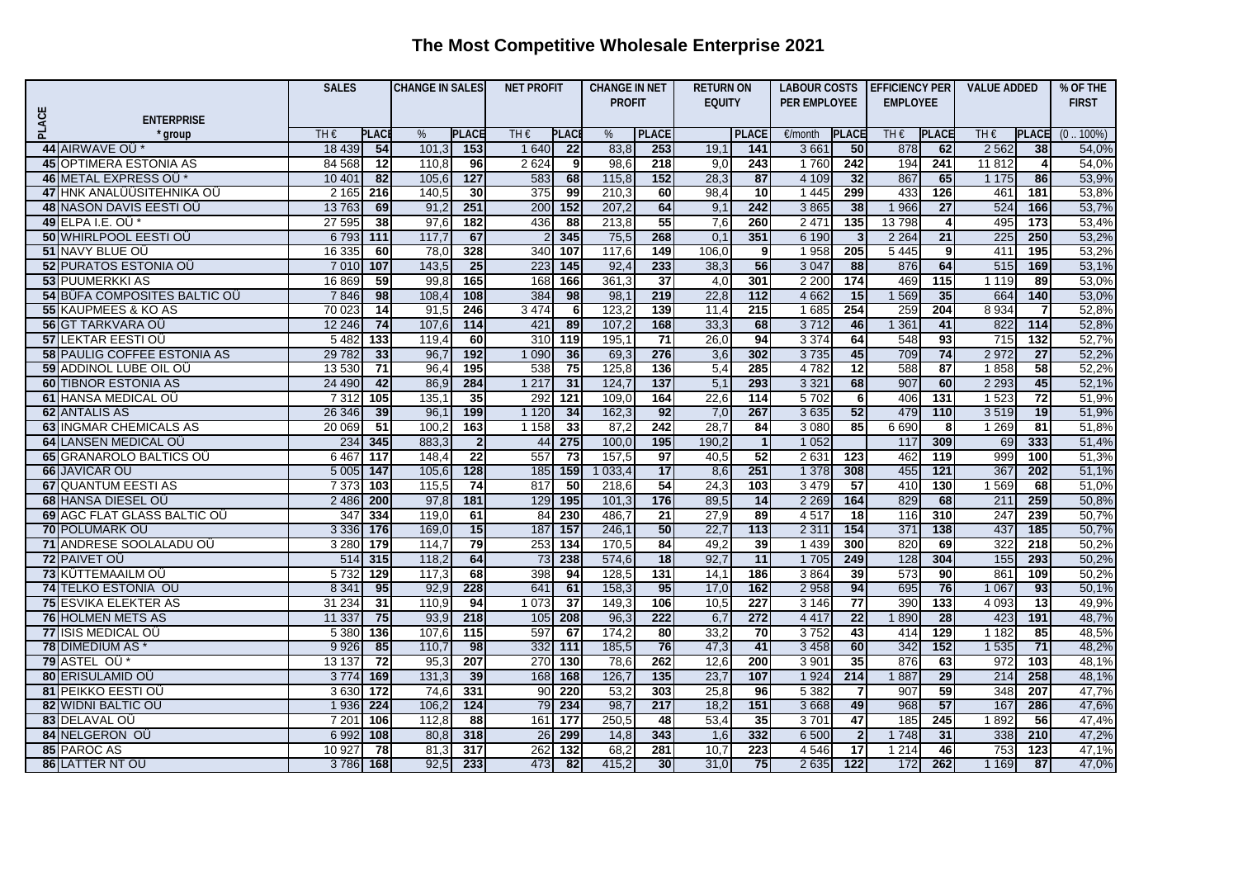## **The Most Competitive Wholesale Enterprise 2021**

|       |                                                       | <b>SALES</b>  |                 | <b>CHANGE IN SALES</b> |                       | <b>NET PROFIT</b>  |                 | <b>CHANGE IN NET</b> |                 | <b>RETURN ON</b> |                                | LABOUR COSTS    |                 | <b>EFFICIENCY PER</b> |                 | <b>VALUE ADDED</b> |                         | % OF THE         |
|-------|-------------------------------------------------------|---------------|-----------------|------------------------|-----------------------|--------------------|-----------------|----------------------|-----------------|------------------|--------------------------------|-----------------|-----------------|-----------------------|-----------------|--------------------|-------------------------|------------------|
|       |                                                       |               |                 |                        |                       |                    |                 | <b>PROFIT</b>        |                 | <b>EQUITY</b>    |                                | PER EMPLOYEE    |                 | <b>EMPLOYEE</b>       |                 |                    |                         | <b>FIRST</b>     |
|       | <b>ENTERPRISE</b>                                     |               |                 |                        |                       |                    |                 |                      |                 |                  |                                |                 |                 |                       |                 |                    |                         |                  |
| PLACE | ' group                                               | TH€           | <b>PLAC</b>     | %                      | <b>PLACE</b>          | TH€<br><b>PLAC</b> |                 | %                    | <b>PLACE</b>    |                  | <b>PLACE</b>                   | €/month         | <b>PLACE</b>    | TH $\epsilon$         | <b>PLACE</b>    | TH €               | <b>PLACE</b>            | $.100\%)$<br>(0) |
|       | 44 AIRWAVE OÜ*                                        | 18 4 39       | 54              | 101,3                  | 153                   | 1 6 4 0            | 22              | 83,8                 | 253             | 19,1             | 141                            | 3661            | 50              | 878                   | 62              | 2 5 6 2            | 38                      | 54,0%            |
|       | <b>45 OPTIMERA ESTONIA AS</b>                         | 84 5 68       | $\overline{12}$ | 110,8                  | 96                    | 2624               | 9               | 98,6                 | 218             | 9,0              | 243                            | 1760            | 242             | 194                   | 241             | 11812              | $\overline{\mathbf{4}}$ | 54,0%            |
|       | 46 METAL EXPRESS OU*                                  | 10 401        | 82              | 105,6                  | 127                   | 583                | 68              | 115,8                | 152             | 28,3             | 87                             | 4 1 0 9         | 32              | 867                   | 65              | 1 1 7 5            | 86                      | 53,9%            |
|       | 47 HNK ANALÜÜSITEHNIKA OÜ                             | 2 1 6 5       | 216             | 140,5                  | 30                    | 375                | 99              | 210,3                | 60              | 98,4             | $\overline{10}$                | 1 4 4 5         | 299             | 433                   | 126             | 461                | 181                     | 53,8%            |
|       | <b>48 NASON DAVIS EESTI OÜ</b>                        | 13763         | 69              | 91,2                   | 251                   | 200                | 152             | 207,2                | 64              | 9,1              | 242                            | 3 8 6 5         | 38              | 1966                  | $\overline{27}$ | 524                | 166                     | 53,7%            |
|       | 49 ELPA I.E. OÜ*                                      | 27 595        | 38              | 97,6                   | 182                   | 436                | 88              | 213,8                | 55              | 7,6              | 260                            | 2 4 7 1         | 135             | 13798                 | 4               | 495                | 173                     | 53,4%            |
|       | 50 WHIRLPOOL EESTI OU                                 | 6793          | 111             | 117.7                  | 67                    |                    | 345             | 75,5                 | 268             | 0.1              | 351                            | 6 1 9 0         |                 | 2 2 6 4               | 21              | 225                | 250                     | 53,2%            |
|       | 51 NAVY BLUE OÜ                                       | 16 3 35       | 60              | 78,0                   | 328                   | 340                | 107             | 117,6                | 149             | 106,0            | 9                              | 1958            | 205             | 5 4 4 5               | 9               | 411                | 195                     | 53,2%            |
|       | 52 PURATOS ESTONIA OU                                 | 7 0 1 0       | 107             | 143,5                  | 25                    | 223                | $145$           | 92,4                 | 233             | 38,3             | 56                             | 3 0 4 7         | 88              | 876                   | 64              | 515                | 169                     | 53,1%            |
|       | <b>53 PUUMERKKI AS</b>                                | 16 869        | 59              | 99.8                   | 165                   | 168                | 166             | 361,3                | $\overline{37}$ | 4,0              | 301                            | 2 2 0 0         | 174             | 469                   | 115             | 1 1 1 9            | 89                      | 53,0%            |
|       | 54 BÜFA COMPOSITES BALTIC OU                          | 7846          | 98              | 108,4                  | 108                   | 384                | 98              | 98,1                 | 219             | 22,8             | 112                            | 4 6 62          | 15              | 1569                  | 35              | 664                | 140                     | 53,0%            |
|       | 55 KAUPMEES & KO AS                                   | 70 023        | $\overline{14}$ | 91,5                   | 246                   | 3 4 7 4            | 6               | 123,2                | 139             | 11,4             | 215                            | 1685            | 254             | 259                   | 204             | 8 9 3 4            | 7                       | 52,8%            |
|       | 56 GT TARKVARA OÜ                                     | 12 246        | 74              | 107,6                  | $\frac{114}{114}$     | 421                | 89              | 107,2                | 168             | 33,3             | 68                             | 3712            | 46              | 1 3 6 1               | 41              | 822                | 114                     | 52,8%            |
|       | <b>57 LEKTAR EESTI OÜ</b>                             | 5 4 8 2       | 133             | 119,4                  | 60                    | 310                | 119             | 195,1                | $\overline{71}$ | 26,0             | 94                             | 3 3 7 4         | 64              | 548                   | 93              | 715                | 132                     | 52,7%            |
|       | <b>58 PAULIG COFFEE ESTONIA AS</b>                    | 29 7 82       | 33              | 96,7                   | 192                   | 1 0 9 0            | 36              | 69,3                 | 276             | 3,6              | 302                            | 3735            | 45              | 709                   | 74              | 2 9 7 2            | $\overline{27}$         | 52,2%            |
|       | 59 ADDINOL LUBE OIL OU                                | 13530         | $\overline{71}$ | 96,4                   | 195                   | 538                | 75              | 125,8                | 136             | 5,4              | 285                            | 4782            | 12              | 588                   | 87              | 1858               | 58                      | 52,2%            |
|       | <b>60 TIBNOR ESTONIA AS</b>                           | 24 4 90       | 42              | 86,9                   | 284                   | 1217               | $\overline{31}$ | 124,7                | 137             | 5,1              | 293                            | 3 3 2 1         | 68              | 907                   | 60              | 2 2 9 3            | 45                      | 52,1%            |
|       | 61 HANSA MEDICAL OÜ                                   | 7312          | 105             | 135.                   | $\overline{35}$       | 292                | 121             | 109,0                | 164             | 22,6             | $114$<br>267                   | 5702            | 6 <sup>1</sup>  | 406                   | 131             | 1 5 2 3            | 72                      | 51,9%            |
|       | 62 ANTALIS AS                                         | 26 346        | 39              | 96,1                   | 199                   | 1 1 2 0            | 34              | 162,3                | 92<br>242       | 7,0              |                                | 3 6 3 5         | 52              | 479                   | 110             | 3519               | 19<br>81                | 51,9%            |
|       | <b>63 INGMAR CHEMICALS AS</b><br>64 LANSEN MEDICAL OU | 20 069<br>234 | 51<br>345       | 100,2<br>883,3         | 163<br>$\overline{2}$ | 1 1 5 8<br>44      | 33<br>275       | 87,2<br>100,0        | 195             | 28,7<br>190,2    | 84<br>$\overline{\phantom{a}}$ | 3 0 8 0<br>1052 | 85              | 6 6 9 0<br>117        | 8<br>309        | 1 2 6 9<br>69      | 333                     | 51,8%<br>51,4%   |
|       | <b>65 GRANAROLO BALTICS OU</b>                        | 646           | 117             | 148.4                  | $\overline{22}$       | 557                | $\overline{73}$ | 157,5                | 97              | 40.5             | $\overline{52}$                | 2 6 3 1         | 123             | 462                   | 119             | 999                | 100                     | 51,3%            |
|       | 66 JAVICAR OU                                         | 5 0 0 5       | 147             | 105,6                  | 128                   | 185                | 159             | 1 0 3 3,4            | 17              | 8,6              | 251                            | 1 3 7 8         | 308             | 455                   | 121             | 367                | 202                     | 51,1%            |
|       | <b>67 QUANTUM EESTI AS</b>                            | 7 3 7 3       | 103             | 115,5                  | 74                    | 817                | 50              | 218,6                | 54              | 24,3             | 103                            | 3 4 7 9         | 57              | 410                   | 130             | 1569               | 68                      | 51,0%            |
|       | <b>68 HANSA DIESEL OÜ</b>                             | 2 4 8 6       | 200             | 97,8                   | 181                   | 129                | 195             | 101,3                | $\frac{1}{176}$ | 89,5             | 14                             | 2 2 6 9         | 164             | 829                   | 68              | 211                | 259                     | 50,8%            |
|       | 69 AGC FLAT GLASS BALTIC OU                           | 347           | 334             | 119,0                  | 61                    | 84                 | 230             | 486,7                | $\overline{21}$ | 27,9             | 89                             | 4517            | $\overline{18}$ | 116                   | 310             | 247                | 239                     | 50,7%            |
|       | <b>70 POLÜMARK OÜ</b>                                 | 3 3 3 6       | $\frac{176}{2}$ | 169,0                  | 15                    | 157<br>187         |                 | 246,1                | 50              | 22,7             | $\overline{113}$               | 2 3 1 1         | 154             | 371                   | 138             | 437                | 185                     | 50,7%            |
|       | 71 ANDRESE SOOLALADU OÜ                               | 3 2 8 0       | 179             | 114,7                  | 79                    | 253                | 134             | 170,5                | 84              | 49,2             | 39                             | 1 4 3 9         | 300             | 820                   | 69              | 322                | 218                     | 50,2%            |
|       | 72 PAIVET OU                                          | 514           | 315             | 118,2                  | 64                    | 73                 | 238             | 574,6                | 18              | 92,7             | 11                             | 1 7 0 5         | 249             | 128                   | 304             | 155                | 293                     | 50,2%            |
|       | 73 KÜTTEMAAILM OÜ                                     | 5732          | 129             | 117,3                  | 68                    | 398                | 94              | 128,5                | 131             | 14,1             | 186                            | 3864            | 39              | 573                   | 90              | 861                | 109                     | 50,2%            |
|       | 74 TELKO ESTONIA OÜ                                   | 8 3 4 1       | 95              | 92,9                   | 228                   | 641                | 61              | 158,3                | 95              | 17,0             | 162                            | 2 9 5 8         | 94              | 695                   | 76              | 1 0 6 7            | 93                      | 50,1%            |
|       | <b>75 ESVIKA ELEKTER AS</b>                           | 31 234        | 31              | 110,9                  | 94                    | 1 0 7 3            | $\overline{37}$ | 149,3                | 106             | 10,5             | 227                            | 3146            | $\overline{77}$ | 390                   | 133             | 4 0 9 3            | 13                      | 49,9%            |
|       | <b>76 HOLMEN METS AS</b>                              | 11 337        | 75              | 93,9                   | 218                   | 105                | 208             | 96,3                 | 222             | 6,7              | 272                            | 4 4 1 7         | 22              | 1890                  | $\overline{28}$ | 423                | 191                     | 48,7%            |
|       | 77 ISIS MEDICAL OÜ                                    | 5 3 8 0       | 136             | 107,6                  | $\frac{115}{115}$     | 597                | 67              | 174,2                | 80              | 33,2             | 70                             | 3752            | 43              | 414                   | 129             | 1 1 8 2            | 85                      | 48,5%            |
|       | 78 DIMEDIUM AS *                                      | 9926          | 85              | 110,7                  | 98                    | 332                | 111             | 185,5                | 76              | 47,3             | 41                             | 3 4 5 8         | 60              | 342                   | 152             | 1 5 3 5            | $\overline{71}$         | 48,2%            |
|       | 79 ASTEL OU*                                          | 13 137        | $\overline{72}$ | 95,3                   | 207                   | 270                | 130             | 78,6                 | 262             | 12.6             | 200                            | 3 9 0 1         | 35              | 876                   | 63              | 972                | 103                     | 48,1%            |
|       | <b>80 ERISULAMID OÜ</b>                               | 3774          | 169             | 131.3                  | 39                    | 168                | 168             | 126.7                | 135             | 23,7             | 107                            | 1 9 2 4         | 214             | 1887                  | $\overline{29}$ | 214                | 258                     | 48,1%            |
|       | <b>81 PEIKKO EESTI OÜ</b>                             | 3630          | 172             | 74,6                   | 331                   | 90                 | 220             | 53,2                 | 303             | 25,8             | 96                             | 5 3 8 2         |                 | 907                   | 59              | 348                | 207                     | 47,7%            |
|       | 82 WIDNI BALTIC OÜ                                    | 1936          | 224             | 106,2                  | $\overline{124}$      | 79                 | 234             | 98,7                 | 217             | 18,2             | 151                            | 3 6 6 8         | 49              | 968                   | $\overline{57}$ | 167                | 286                     | 47,6%            |
|       | 83 DELAVAL OU                                         | 7 201         | 106             | 112,8                  | 88                    | 177<br>161         |                 | 250,5                | 48              | 53,4             | 35                             | 3701            | 47              | 185                   | 245             | 1892               | 56                      | 47,4%            |
|       | 84 NELGERON OÜ                                        | 6992          | 108             | 80,8                   | 318                   | 26                 | 299             | 14,8                 | 343             | 1,6              | 332                            | 6 500           | $\overline{2}$  | 1748                  | 31              | 338                | 210                     | 47,2%            |
|       | 85 PAROC AS                                           | 10 927        | 78              | 81,3                   | 317                   | 262                | 132             | 68,2                 | 281             | 10,7             | 223                            | 4546            | 17              | 1 2 1 4               | 46              | 753                | 123                     | 47,1%            |
|       | 86 LATTER NT OU                                       | 3786          | 168             | 92,5                   | 233                   | 473                | 82              | 415.2                | 30              | 31,0             | 75                             | 2 6 3 5         | 122             | 172                   | 262             | 1 1 6 9            | 87                      | 47,0%            |